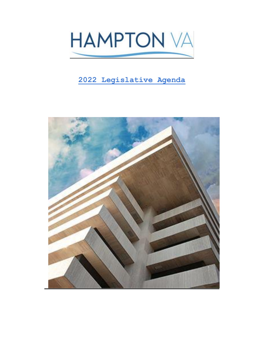

# **2022 Legislative Agenda**

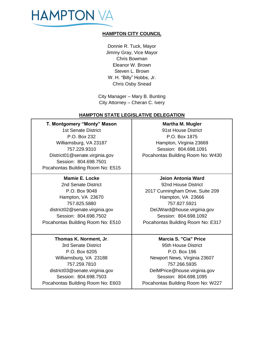

# **HAMPTON CITY COUNCIL**

Donnie R. Tuck, Mayor Jimmy Gray, Vice Mayor Chris Bowman Eleanor W. Brown Steven L. Brown W. H. "Billy" Hobbs, Jr. Chris Osby Snead

City Manager – Mary B. Bunting City Attorney – Cheran C. Ivery

# **HAMPTON STATE LEGISLATIVE DELEGATION**

**T. Montgomery "Monty" Mason** 1st Senate District P.O. Box 232 Williamsburg, VA 23187 757.229.9310 District01@senate.virginia.gov Session: 804.698.7501 Pocahontas Building Room No: E515

#### **Mamie E. Locke**

2nd Senate District P.O. Box 9048 Hampton, VA 23670 757.825.5880 district02@senate.virginia.gov Session: 804.698.7502 Pocahontas Building Room No: E510

#### **Thomas K. Norment, Jr**. 3rd Senate District

P.O. Box 6205 Williamsburg, VA 23188 757.259.7810 district03@senate.virginia.gov Session: 804.698.7503 Pocahontas Building Room No: E603

# **Martha M. Mugler** 91st House District P.O. Box 1875 Hampton, Virginia 23669 Session: 804.698.1091 Pocahontas Building Room No: W430

#### **Jeion Antonia Ward**

92nd House District 2017 Cunningham Drive, Suite 209 Hampton, VA 23666 757.827.5921 DelJWard@house.virginia.gov Session: 804.698.1092 Pocahontas Building Room No: E317

**Marcia S. "Cia" Price** 95th House District P.O. Box 196 Newport News, Virginia 23607 757.266.5935 DelMPrice@house.virginia.gov Session: 804.698.1095 Pocahontas Building Room No: W227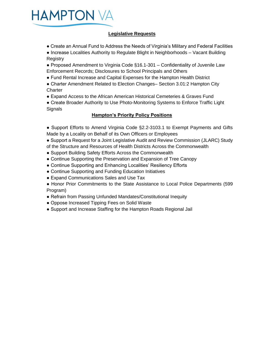

# **Legislative Requests**

- Create an Annual Fund to Address the Needs of Virginia's Military and Federal Facilities
- Increase Localities Authority to Regulate Blight in Neighborhoods Vacant Building **Registry**
- Proposed Amendment to Virginia Code §16.1-301 Confidentiality of Juvenile Law Enforcement Records; Disclosures to School Principals and Others
- Fund Rental Increase and Capital Expenses for the Hampton Health District
- Charter Amendment Related to Election Changes– Section 3.01:2 Hampton City **Charter**
- Expand Access to the African American Historical Cemeteries & Graves Fund
- Create Broader Authority to Use Photo-Monitoring Systems to Enforce Traffic Light **Signals**

# **Hampton's Priority Policy Positions**

- Support Efforts to Amend Virginia Code §2.2-3103.1 to Exempt Payments and Gifts Made by a Locality on Behalf of its Own Officers or Employees
- Support a Request for a Joint Legislative Audit and Review Commission (JLARC) Study of the Structure and Resources of Health Districts Across the Commonwealth
- Support Building Safety Efforts Across the Commonwealth
- Continue Supporting the Preservation and Expansion of Tree Canopy
- Continue Supporting and Enhancing Localities' Resiliency Efforts
- Continue Supporting and Funding Education Initiatives
- Expand Communications Sales and Use Tax
- Honor Prior Commitments to the State Assistance to Local Police Departments (599 Program)
- Refrain from Passing Unfunded Mandates/Constitutional Inequity
- Oppose Increased Tipping Fees on Solid Waste
- Support and Increase Staffing for the Hampton Roads Regional Jail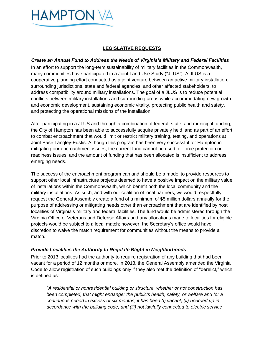

# **LEGISLATIVE REQUESTS**

#### *Create an Annual Fund to Address the Needs of Virginia's Military and Federal Facilities*

In an effort to support the long-term sustainability of military facilities in the Commonwealth, many communities have participated in a Joint Land Use Study ("JLUS"). A JLUS is a cooperative planning effort conducted as a joint venture between an active military installation, surrounding jurisdictions, state and federal agencies, and other affected stakeholders, to address compatibility around military installations. The goal of a JLUS is to reduce potential conflicts between military installations and surrounding areas while accommodating new growth and economic development, sustaining economic vitality, protecting public health and safety, and protecting the operational missions of the installation.

After participating in a JLUS and through a combination of federal, state, and municipal funding, the City of Hampton has been able to successfully acquire privately held land as part of an effort to combat encroachment that would limit or restrict military training, testing, and operations at Joint Base Langley-Eustis. Although this program has been very successful for Hampton in mitigating our encroachment issues, the current fund cannot be used for force protection or readiness issues, and the amount of funding that has been allocated is insufficient to address emerging needs.

The success of the encroachment program can and should be a model to provide resources to support other local infrastructure projects deemed to have a positive impact on the military value of installations within the Commonwealth, which benefit both the local community and the military installations. As such, and with our coalition of local partners, we would respectfully request the General Assembly create a fund of a minimum of \$5 million dollars annually for the purpose of addressing or mitigating needs other than encroachment that are identified by host localities of Virginia's military and federal facilities. The fund would be administered through the Virginia Office of Veterans and Defense Affairs and any allocations made to localities for eligible projects would be subject to a local match; however, the Secretary's office would have discretion to waive the match requirement for communities without the means to provide a match.

# *Provide Localities the Authority to Regulate Blight in Neighborhoods*

Prior to 2013 localities had the authority to require registration of any building that had been vacant for a period of 12 months or more. In 2013, the General Assembly amended the Virginia Code to allow registration of such buildings only if they also met the definition of "derelict," which is defined as:

*"A residential or nonresidential building or structure, whether or not construction has been completed, that might endanger the public's health, safety, or welfare and for a continuous period in excess of six months, it has been (i) vacant, (ii) boarded up in accordance with the building code, and (iii) not lawfully connected to electric service*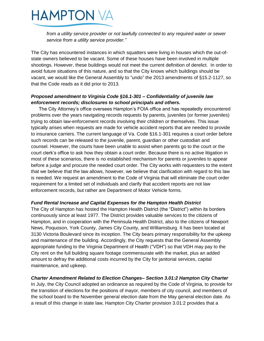**HAMPTON VA** 

*from a utility service provider or not lawfully connected to any required water or sewer service from a utility service provider."*

The City has encountered instances in which squatters were living in houses which the out-ofstate owners believed to be vacant. Some of these houses have been involved in multiple shootings. However, these buildings would not meet the current definition of derelict. In order to avoid future situations of this nature, and so that the City knows which buildings should be vacant, we would like the General Assembly to "undo" the 2013 amendments of §15.2-1127, so that the Code reads as it did prior to 2013.

#### *Proposed amendment to Virginia Code §16.1-301 – Confidentiality of juvenile law enforcement records; disclosures to school principals and others.*

The City Attorney's office oversees Hampton's FOIA office and has repeatedly encountered problems over the years navigating records requests by parents, juveniles (or former juveniles) trying to obtain law-enforcement records involving their children or themselves. This issue typically arises when requests are made for vehicle accident reports that are needed to provide to insurance carriers. The current language of Va. Code §16.1-301 requires a court order before such records can be released to the juvenile, parent, guardian or other custodian and counsel. However, the courts have been unable to assist when parents go to the court or the court clerk's office to ask how they obtain a court order. Because there is no active litigation in most of these scenarios, there is no established mechanism for parents or juveniles to appear before a judge and procure the needed court order. The City works with requesters to the extent that we believe that the law allows, however, we believe that clarification with regard to this law is needed. We request an amendment to the Code of Virginia that will eliminate the court order requirement for a limited set of individuals and clarify that accident reports are not law enforcement records, but rather are Department of Motor Vehicle forms.

# *Fund Rental Increase and Capital Expenses for the Hampton Health District*

The City of Hampton has hosted the Hampton Health District (the "District") within its borders continuously since at least 1977. The District provides valuable services to the citizens of Hampton, and in cooperation with the Peninsula Health District, also to the citizens of Newport News, Poquoson, York County, James City County, and Williamsburg. It has been located at 3130 Victoria Boulevard since its inception. The City bears primary responsibility for the upkeep and maintenance of the building. Accordingly, the City requests that the General Assembly appropriate funding to the Virginia Department of Health ("VDH") so that VDH may pay to the City rent on the full building square footage commensurate with the market, plus an added amount to defray the additional costs incurred by the City for janitorial services, capital maintenance, and upkeep.

# *Charter Amendment Related to Election Changes– Section 3.01:2 Hampton City Charter*

In July, the City Council adopted an ordinance as required by the Code of Virginia, to provide for the transition of elections for the positions of mayor, members of city council, and members of the school board to the November general election date from the May general election date. As a result of this change in state law, Hampton City Charter provision 3.01:2 provides that a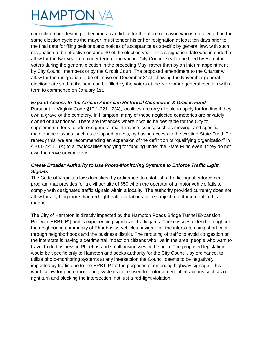

councilmember desiring to become a candidate for the office of mayor, who is not elected on the same election cycle as the mayor, must tender his or her resignation at least ten days prior to the final date for filing petitions and notices of acceptance as specific by general law, with such resignation to be effective on June 30 of the election year. This resignation date was intended to allow for the two-year remainder term of the vacant City Council seat to be filled by Hampton voters during the general election in the preceding May, rather than by an interim appointment by City Council members or by the Circuit Court. The proposed amendment to the Charter will allow for the resignation to be effective on December 31st following the November general election date so that the seat can be filled by the voters at the November general election with a term to commence on January 1st.

#### *Expand Access to the African American Historical Cemeteries & Graves Fund*

Pursuant to Virginia Code §10.1-2211.2(A), localities are only eligible to apply for funding if they own a grave or the cemetery. In Hampton, many of these neglected cemeteries are privately owned or abandoned. There are instances where it would be desirable for the City to supplement efforts to address general maintenance issues, such as mowing, and specific maintenance issues, such as collapsed graves, by having access to the existing State Fund. To remedy this, we are recommending an expansion of the definition of "qualifying organization" in §10.1-2211.1(A) to allow localities applying for funding under the State Fund even if they do not own the grave or cemetery.

# *Create Broader Authority to Use Photo-Monitoring Systems to Enforce Traffic Light Signals*

The Code of Virginia allows localities, by ordinance, to establish a traffic signal enforcement program that provides for a civil penalty of \$50 when the operator of a motor vehicle fails to comply with designated traffic signals within a locality. The authority provided currently does not allow for anything more than red-light traffic violations to be subject to enforcement in this manner.

The City of Hampton is directly impacted by the Hampton Roads Bridge Tunnel Expansion Project ("HRBT-P") and is experiencing significant traffic jams. These issues extend throughout the neighboring community of Phoebus as vehicles navigate off the interstate using short cuts through neighborhoods and the business district. The rerouting of traffic to avoid congestion on the interstate is having a detrimental impact on citizens who live in the area, people who want to travel to do business in Phoebus and small businesses in the area. The proposed legislation would be specific only to Hampton and seeks authority for the City Council, by ordinance, to utilize photo-monitoring systems at any intersection the Council deems to be negatively impacted by traffic due to the HRBT-P for the purposes of enforcing highway signage. This would allow for photo-monitoring systems to be used for enforcement of infractions such as no right turn and blocking the intersection, not just a red-light violation.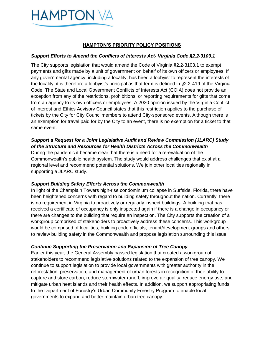

#### **HAMPTON'S PRIORITY POLICY POSITIONS**

#### *Support Efforts to Amend the Conflicts of Interests Act- Virginia Code §2.2-3103.1*

The City supports legislation that would amend the Code of Virginia §2.2-3103.1 to exempt payments and gifts made by a unit of government on behalf of its own officers or employees. If any governmental agency, including a locality, has hired a lobbyist to represent the interests of the locality, it is therefore a lobbyist's principal as that term is defined in §2.2-419 of the Virginia Code. The State and Local Government Conflicts of Interests Act (COIA) does not provide an exception from any of the restrictions, prohibitions, or reporting requirements for gifts that come from an agency to its own officers or employees. A 2020 opinion issued by the Virginia Conflict of Interest and Ethics Advisory Council states that this restriction applies to the purchase of tickets by the City for City Councilmembers to attend City-sponsored events. Although there is an exemption for travel paid for by the City to an event, there is no exemption for a ticket to that same event.

# *Support a Request for a Joint Legislative Audit and Review Commission (JLARC) Study of the Structure and Resources for Health Districts Across the Commonwealth*

During the pandemic it became clear that there is a need for a re-evaluation of the Commonwealth's public health system. The study would address challenges that exist at a regional level and recommend potential solutions. We join other localities regionally in supporting a JLARC study.

#### *Support Building Safety Efforts Across the Commonwealth*

In light of the Champlain Towers high-rise condominium collapse in Surfside, Florida, there have been heightened concerns with regard to building safety throughout the nation. Currently, there is no requirement in Virginia to proactively or regularly inspect buildings. A building that has received a certificate of occupancy is only inspected again if there is a change in occupancy or there are changes to the building that require an inspection. The City supports the creation of a workgroup comprised of stakeholders to proactively address these concerns. This workgroup would be comprised of localities, building code officials, tenant/development groups and others to review building safety in the Commonwealth and propose legislation surrounding this issue.

#### *Continue Supporting the Preservation and Expansion of Tree Canopy*

Earlier this year, the General Assembly passed legislation that created a workgroup of stakeholders to recommend legislative solutions related to the expansion of tree canopy. We continue to support legislation to provide local governments with greater authority in the reforestation, preservation, and management of urban forests in recognition of their ability to capture and store carbon, reduce stormwater runoff, improve air quality, reduce energy use, and mitigate urban heat islands and their health effects. In addition, we support appropriating funds to the Department of Forestry's Urban Community Forestry Program to enable local governments to expand and better maintain urban tree canopy.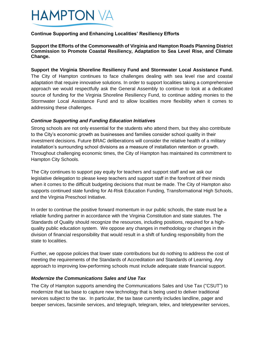

#### **Continue Supporting and Enhancing Localities' Resiliency Efforts**

**Support the Efforts of the Commonwealth of Virginia and Hampton Roads Planning District Commission to Promote Coastal Resiliency, Adaptation to Sea Level Rise, and Climate Change.** 

**Support the Virginia Shoreline Resiliency Fund and Stormwater Local Assistance Fund.**  The City of Hampton continues to face challenges dealing with sea level rise and coastal adaptation that require innovative solutions. In order to support localities taking a comprehensive approach we would respectfully ask the General Assembly to continue to look at a dedicated source of funding for the Virginia Shoreline Resiliency Fund, to continue adding monies to the Stormwater Local Assistance Fund and to allow localities more flexibility when it comes to addressing these challenges.

#### *Continue Supporting and Funding Education Initiatives*

Strong schools are not only essential for the students who attend them, but they also contribute to the City's economic growth as businesses and families consider school quality in their investment decisions. Future BRAC deliberations will consider the relative health of a military installation's surrounding school divisions as a measure of installation retention or growth. Throughout challenging economic times, the City of Hampton has maintained its commitment to Hampton City Schools.

The City continues to support pay equity for teachers and support staff and we ask our legislative delegation to please keep teachers and support staff in the forefront of their minds when it comes to the difficult budgeting decisions that must be made. The City of Hampton also supports continued state funding for At-Risk Education Funding, Transformational High Schools, and the Virginia Preschool Initiative.

In order to continue the positive forward momentum in our public schools, the state must be a reliable funding partner in accordance with the Virginia Constitution and state statutes. The Standards of Quality should recognize the resources, including positions, required for a highquality public education system. We oppose any changes in methodology or changes in the division of financial responsibility that would result in a shift of funding responsibility from the state to localities.

Further, we oppose policies that lower state contributions but do nothing to address the cost of meeting the requirements of the Standards of Accreditation and Standards of Learning. Any approach to improving low-performing schools must include adequate state financial support.

#### *Modernize the Communications Sales and Use Tax*

The City of Hampton supports amending the Communications Sales and Use Tax ("CSUT") to modernize that tax base to capture new technology that is being used to deliver traditional services subject to the tax. In particular, the tax base currently includes landline, pager and beeper services, facsimile services, and telegraph, telegram, telex, and teletypewriter services,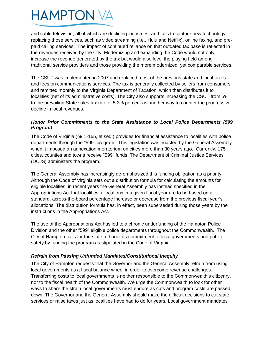# **HAMPTON VA**

and cable television, all of which are declining industries; and fails to capture new technology replacing those services, such as video streaming (i.e., Hulu and Netflix), online faxing, and pre‐ paid calling services. The impact of continued reliance on that outdated tax base is reflected in the revenues received by the City. Modernizing and expanding the Code would not only increase the revenue generated by the tax but would also level the playing field among traditional service providers and those providing the more modernized, yet comparable services.

The CSUT was implemented in 2007 and replaced most of the previous state and local taxes and fees on communications services. The tax is generally collected by sellers from consumers and remitted monthly to the Virginia Department of Taxation, which then distributes it to localities (net of its administrative costs). The City also supports increasing the CSUT from 5% to the prevailing State sales tax rate of 5.3% percent as another way to counter the progressive decline in local revenues.

# *Honor Prior Commitments to the State Assistance to Local Police Departments (599 Program)*

The Code of Virginia (§9.1-165, et seq.) provides for financial assistance to localities with police departments through the "599" program. This legislation was enacted by the General Assembly when it imposed an annexation moratorium on cities more than 30 years ago. Currently, 175 cities, counties and towns receive "599" funds. The Department of Criminal Justice Services (DCJS) administers the program.

The General Assembly has increasingly de-emphasized this funding obligation as a priority. Although the Code of Virginia sets out a distribution formula for calculating the amounts for eligible localities, in recent years the General Assembly has instead specified in the Appropriations Act that localities' allocations in a given fiscal year are to be based on a standard, across-the-board percentage increase or decrease from the previous fiscal year's allocations. The distribution formula has, in effect, been superseded during those years by the instructions in the Appropriations Act.

The use of the Appropriations Act has led to a chronic underfunding of the Hampton Police Division and the other "599" eligible police departments throughout the Commonwealth. The City of Hampton calls for the state to honor its commitment to local governments and public safety by funding the program as stipulated in the Code of Virginia.

# *Refrain from Passing Unfunded Mandates/Constitutional Inequity*

The City of Hampton requests that the Governor and the General Assembly refrain from using local governments as a fiscal balance wheel in order to overcome revenue challenges. Transferring costs to local governments is neither responsible to the Commonwealth's citizenry, nor to the fiscal health of the Commonwealth. We urge the Commonwealth to look for other ways to share the strain local governments must endure as cuts and program costs are passed down. The Governor and the General Assembly should make the difficult decisions to cut state services or raise taxes just as localities have had to do for years. Local government mandates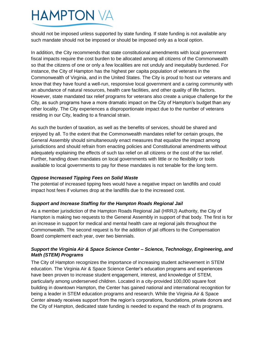# **HAMPTON VA**

should not be imposed unless supported by state funding. If state funding is not available any such mandate should not be imposed or should be imposed only as a local option.

In addition, the City recommends that state constitutional amendments with local government fiscal impacts require the cost burden to be allocated among all citizens of the Commonwealth so that the citizens of one or only a few localities are not unduly and inequitably burdened. For instance, the City of Hampton has the highest per capita population of veterans in the Commonwealth of Virginia, and in the United States. The City is proud to host our veterans and know that they have found a well-run, responsive local government and a caring community with an abundance of natural resources, health care facilities, and other quality of life factors. However, state mandated tax relief programs for veterans also create a unique challenge for the City, as such programs have a more dramatic impact on the City of Hampton's budget than any other locality. The City experiences a disproportionate impact due to the number of veterans residing in our City, leading to a financial strain.

As such the burden of taxation, as well as the benefits of services, should be shared and enjoyed by all. To the extent that the Commonwealth mandates relief for certain groups, the General Assembly should simultaneously enact measures that equalize the impact among jurisdictions and should refrain from enacting policies and Constitutional amendments without adequately explaining the effects of such tax relief on all citizens or the cost of the tax relief. Further, handing down mandates on local governments with little or no flexibility or tools available to local governments to pay for these mandates is not tenable for the long term.

# *Oppose Increased Tipping Fees on Solid Waste*

The potential of increased tipping fees would have a negative impact on landfills and could impact host fees if volumes drop at the landfills due to the increased cost.

# *Support and Increase Staffing for the Hampton Roads Regional Jail*

As a member jurisdiction of the Hampton Roads Regional Jail (HRRJ) Authority, the City of Hampton is making two requests to the General Assembly in support of that body. The first is for an increase in support for medical and mental health care at regional jails throughout the Commonwealth. The second request is for the addition of jail officers to the Compensation Board complement each year, over two biennials.

# *Support the Virginia Air & Space Science Center – Science, Technology, Engineering, and Math (STEM) Programs*

The City of Hampton recognizes the importance of increasing student achievement in STEM education. The Virginia Air & Space Science Center's education programs and experiences have been proven to increase student engagement, interest, and knowledge of STEM, particularly among underserved children. Located in a city-provided 100,000 square foot building in downtown Hampton, the Center has gained national and international recognition for being a leader in STEM education programs and research. While the Virginia Air & Space Center already receives support from the region's corporations, foundations, private donors and the City of Hampton, dedicated state funding is needed to expand the reach of its programs.